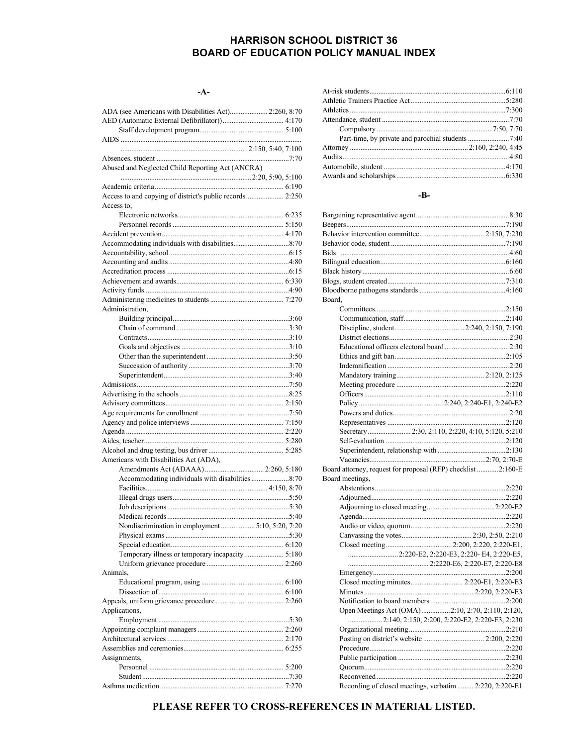## **HARRISON SCHOOL DISTRICT 36 BOARD OF EDUCATION POLICY MANUAL INDEX**

#### $-A-$

| ADA (see Americans with Disabilities Act) 2:260, 8:70    |  |
|----------------------------------------------------------|--|
|                                                          |  |
|                                                          |  |
|                                                          |  |
|                                                          |  |
| Abused and Neglected Child Reporting Act (ANCRA)         |  |
|                                                          |  |
|                                                          |  |
| Access to and copying of district's public records 2:250 |  |
| Access to,                                               |  |
|                                                          |  |
|                                                          |  |
|                                                          |  |
|                                                          |  |
|                                                          |  |
|                                                          |  |
|                                                          |  |
|                                                          |  |
|                                                          |  |
|                                                          |  |
| Administration,                                          |  |
|                                                          |  |
|                                                          |  |
|                                                          |  |
|                                                          |  |
|                                                          |  |
|                                                          |  |
|                                                          |  |
|                                                          |  |
|                                                          |  |
|                                                          |  |
|                                                          |  |
|                                                          |  |
|                                                          |  |
|                                                          |  |
| Americans with Disabilities Act (ADA),                   |  |
|                                                          |  |
|                                                          |  |
|                                                          |  |
|                                                          |  |
|                                                          |  |
|                                                          |  |
| Nondiscrimination in employment  5:10, 5:20, 7:20        |  |
|                                                          |  |
|                                                          |  |
| Temporary illness or temporary incapacity 5:180          |  |
|                                                          |  |
| Animals,                                                 |  |
|                                                          |  |
|                                                          |  |
|                                                          |  |
| Applications,                                            |  |
|                                                          |  |
|                                                          |  |
|                                                          |  |
|                                                          |  |
| Assignments,                                             |  |
|                                                          |  |
|                                                          |  |
|                                                          |  |

#### -B-

| Board,                                                       |                                                         |
|--------------------------------------------------------------|---------------------------------------------------------|
|                                                              |                                                         |
|                                                              |                                                         |
|                                                              |                                                         |
|                                                              |                                                         |
|                                                              |                                                         |
|                                                              |                                                         |
|                                                              |                                                         |
|                                                              |                                                         |
|                                                              |                                                         |
|                                                              |                                                         |
|                                                              |                                                         |
|                                                              |                                                         |
|                                                              |                                                         |
|                                                              |                                                         |
|                                                              |                                                         |
|                                                              |                                                         |
|                                                              |                                                         |
|                                                              |                                                         |
| Board attorney, request for proposal (RFP) checklist 2:160-E |                                                         |
| Board meetings.                                              |                                                         |
|                                                              |                                                         |
|                                                              |                                                         |
|                                                              |                                                         |
|                                                              |                                                         |
|                                                              |                                                         |
|                                                              |                                                         |
|                                                              |                                                         |
|                                                              | 2:220-E2, 2:220-E3, 2:220-E4, 2:220-E5,                 |
|                                                              |                                                         |
|                                                              |                                                         |
|                                                              |                                                         |
|                                                              |                                                         |
|                                                              |                                                         |
|                                                              |                                                         |
|                                                              | 2:140, 2:150, 2:200, 2:220-E2, 2:220-E3, 2:230          |
|                                                              |                                                         |
|                                                              |                                                         |
|                                                              |                                                         |
|                                                              |                                                         |
|                                                              |                                                         |
|                                                              |                                                         |
|                                                              |                                                         |
|                                                              | Recording of closed meetings, verbatim  2:220, 2:220-E1 |

## PLEASE REFER TO CROSS-REFERENCES IN MATERIAL LISTED.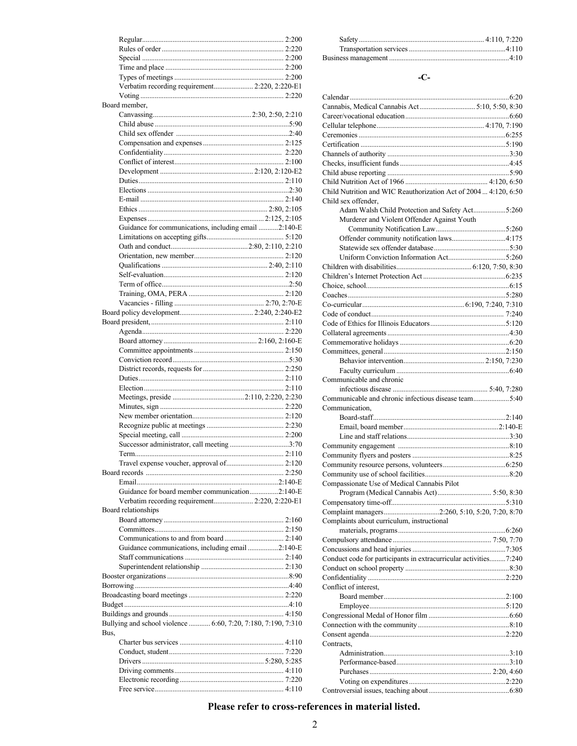| Verbatim recording requirement 2:220, 2:220-E1                        |  |
|-----------------------------------------------------------------------|--|
|                                                                       |  |
| Board member,                                                         |  |
|                                                                       |  |
|                                                                       |  |
|                                                                       |  |
|                                                                       |  |
|                                                                       |  |
|                                                                       |  |
|                                                                       |  |
|                                                                       |  |
|                                                                       |  |
|                                                                       |  |
|                                                                       |  |
| Guidance for communications, including email 2:140-E                  |  |
|                                                                       |  |
|                                                                       |  |
|                                                                       |  |
|                                                                       |  |
|                                                                       |  |
|                                                                       |  |
|                                                                       |  |
|                                                                       |  |
|                                                                       |  |
|                                                                       |  |
|                                                                       |  |
|                                                                       |  |
|                                                                       |  |
|                                                                       |  |
|                                                                       |  |
|                                                                       |  |
|                                                                       |  |
|                                                                       |  |
|                                                                       |  |
|                                                                       |  |
|                                                                       |  |
|                                                                       |  |
|                                                                       |  |
| Successor administrator, call meeting 3:70                            |  |
|                                                                       |  |
| Travel expense voucher, approval of 2:120                             |  |
|                                                                       |  |
|                                                                       |  |
| Guidance for board member communication2:140-E                        |  |
| Verbatim recording requirement 2:220, 2:220-E1                        |  |
|                                                                       |  |
| Board relationships                                                   |  |
|                                                                       |  |
|                                                                       |  |
| Guidance communications, including email 2:140-E                      |  |
|                                                                       |  |
|                                                                       |  |
|                                                                       |  |
|                                                                       |  |
|                                                                       |  |
|                                                                       |  |
|                                                                       |  |
| Bullying and school violence  6:60, 7:20, 7:180, 7:190, 7:310<br>Bus. |  |
|                                                                       |  |
|                                                                       |  |
|                                                                       |  |
|                                                                       |  |
|                                                                       |  |

## **-C-**

| Cannabis, Medical Cannabis Act 5:10, 5:50, 8:30                  |  |
|------------------------------------------------------------------|--|
|                                                                  |  |
|                                                                  |  |
|                                                                  |  |
|                                                                  |  |
|                                                                  |  |
|                                                                  |  |
|                                                                  |  |
|                                                                  |  |
| Child Nutrition and WIC Reauthorization Act of 2004  4:120, 6:50 |  |
| Child sex offender,                                              |  |
| Adam Walsh Child Protection and Safety Act5:260                  |  |
| Murderer and Violent Offender Against Youth                      |  |
|                                                                  |  |
| Offender community notification laws4:175                        |  |
|                                                                  |  |
|                                                                  |  |
|                                                                  |  |
|                                                                  |  |
|                                                                  |  |
|                                                                  |  |
|                                                                  |  |
|                                                                  |  |
|                                                                  |  |
|                                                                  |  |
|                                                                  |  |
|                                                                  |  |
|                                                                  |  |
|                                                                  |  |
|                                                                  |  |
| Communicable and chronic                                         |  |
|                                                                  |  |
| Communicable and chronic infectious disease team5:40             |  |
| Communication,                                                   |  |
|                                                                  |  |
|                                                                  |  |
|                                                                  |  |
|                                                                  |  |
|                                                                  |  |
|                                                                  |  |
|                                                                  |  |
| Compassionate Use of Medical Cannabis Pilot                      |  |
| Program (Medical Cannabis Act) 5:50, 8:30                        |  |
|                                                                  |  |
| Complaint managers2:260, 5:10, 5:20, 7:20, 8:70                  |  |
| Complaints about curriculum, instructional                       |  |
|                                                                  |  |
|                                                                  |  |
|                                                                  |  |
| Conduct code for participants in extracurricular activities7:240 |  |
|                                                                  |  |
|                                                                  |  |
| Conflict of interest.                                            |  |
|                                                                  |  |
|                                                                  |  |
|                                                                  |  |
|                                                                  |  |
|                                                                  |  |
| Contracts,                                                       |  |
|                                                                  |  |
|                                                                  |  |
|                                                                  |  |
|                                                                  |  |
|                                                                  |  |
|                                                                  |  |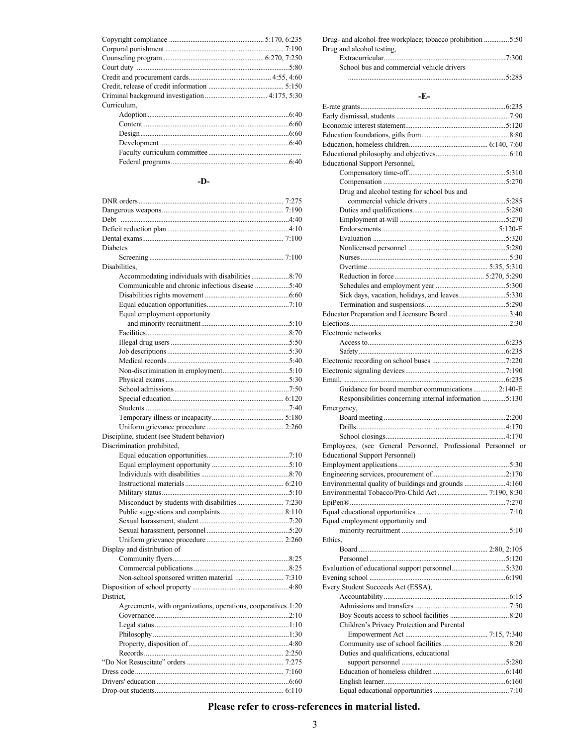| Curriculum, |  |
|-------------|--|
|             |  |
|             |  |
|             |  |
|             |  |
|             |  |
|             |  |

#### **-D-**

| Diabetes                                                      |  |
|---------------------------------------------------------------|--|
|                                                               |  |
| Disabilities.                                                 |  |
| Accommodating individuals with disabilities 8:70              |  |
| Communicable and chronic infectious disease 5:40              |  |
|                                                               |  |
|                                                               |  |
| Equal employment opportunity                                  |  |
|                                                               |  |
|                                                               |  |
|                                                               |  |
|                                                               |  |
|                                                               |  |
|                                                               |  |
|                                                               |  |
|                                                               |  |
|                                                               |  |
|                                                               |  |
|                                                               |  |
|                                                               |  |
| Discipline, student (see Student behavior)                    |  |
|                                                               |  |
| Discrimination prohibited,                                    |  |
|                                                               |  |
|                                                               |  |
|                                                               |  |
|                                                               |  |
|                                                               |  |
|                                                               |  |
|                                                               |  |
|                                                               |  |
|                                                               |  |
|                                                               |  |
| Display and distribution of                                   |  |
|                                                               |  |
|                                                               |  |
|                                                               |  |
|                                                               |  |
| District.                                                     |  |
| Agreements, with organizations, operations, cooperatives.1:20 |  |
|                                                               |  |
|                                                               |  |
|                                                               |  |
|                                                               |  |
|                                                               |  |
|                                                               |  |
|                                                               |  |
|                                                               |  |
|                                                               |  |

| Drug- and alcohol-free workplace; tobacco prohibition 5:50 |       |
|------------------------------------------------------------|-------|
| Drug and alcohol testing.                                  |       |
|                                                            |       |
| School bus and commercial vehicle drivers                  |       |
|                                                            | 5.285 |

## **-E-**

| -к-                                                          |  |
|--------------------------------------------------------------|--|
|                                                              |  |
|                                                              |  |
|                                                              |  |
|                                                              |  |
|                                                              |  |
| <b>Educational Support Personnel,</b>                        |  |
|                                                              |  |
|                                                              |  |
| Drug and alcohol testing for school bus and                  |  |
|                                                              |  |
|                                                              |  |
|                                                              |  |
|                                                              |  |
|                                                              |  |
|                                                              |  |
|                                                              |  |
|                                                              |  |
|                                                              |  |
|                                                              |  |
|                                                              |  |
|                                                              |  |
| Educator Preparation and Licensure Board 3:40                |  |
| Electronic networks                                          |  |
|                                                              |  |
|                                                              |  |
|                                                              |  |
|                                                              |  |
|                                                              |  |
| Guidance for board member communications2:140-E              |  |
| Responsibilities concerning internal information 5:130       |  |
| Emergency,                                                   |  |
|                                                              |  |
|                                                              |  |
|                                                              |  |
| Employees, (see General Personnel, Professional Personnel or |  |
| <b>Educational Support Personnel)</b>                        |  |
|                                                              |  |
| Environmental quality of buildings and grounds 4:160         |  |
|                                                              |  |
|                                                              |  |
|                                                              |  |
| Equal employment opportunity and                             |  |
|                                                              |  |
| Ethics.                                                      |  |
|                                                              |  |
|                                                              |  |
|                                                              |  |
|                                                              |  |
| Every Student Succeeds Act (ESSA),                           |  |
|                                                              |  |
|                                                              |  |
|                                                              |  |
| Children's Privacy Protection and Parental                   |  |
|                                                              |  |
| Duties and qualifications, educational                       |  |
|                                                              |  |
|                                                              |  |
|                                                              |  |
|                                                              |  |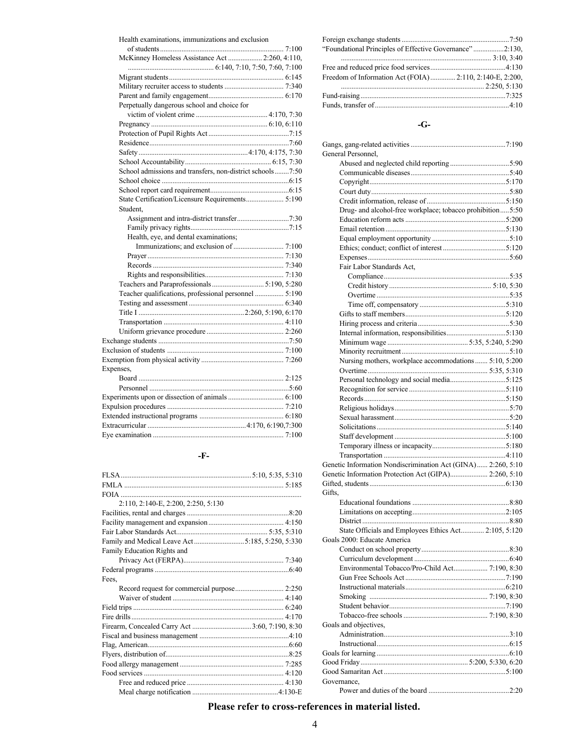#### Health examinations, immunizations and exclusion

| McKinney Homeless Assistance Act  2:260, 4:110,           |  |
|-----------------------------------------------------------|--|
|                                                           |  |
|                                                           |  |
|                                                           |  |
|                                                           |  |
| Perpetually dangerous school and choice for               |  |
|                                                           |  |
|                                                           |  |
|                                                           |  |
|                                                           |  |
|                                                           |  |
|                                                           |  |
| School admissions and transfers, non-district schools7:50 |  |
|                                                           |  |
|                                                           |  |
| State Certification/Licensure Requirements 5:190          |  |
| Student.                                                  |  |
|                                                           |  |
|                                                           |  |
| Health, eye, and dental examinations;                     |  |
|                                                           |  |
|                                                           |  |
|                                                           |  |
|                                                           |  |
|                                                           |  |
| Teacher qualifications, professional personnel  5:190     |  |
|                                                           |  |
|                                                           |  |
|                                                           |  |
|                                                           |  |
|                                                           |  |
|                                                           |  |
|                                                           |  |
| Expenses,                                                 |  |
|                                                           |  |
|                                                           |  |
|                                                           |  |
|                                                           |  |
|                                                           |  |
|                                                           |  |
|                                                           |  |
|                                                           |  |

#### **-F-**

| 2:110, 2:140-E, 2:200, 2:250, 5:130             |  |
|-------------------------------------------------|--|
|                                                 |  |
|                                                 |  |
|                                                 |  |
| Family and Medical Leave Act5:185, 5:250, 5:330 |  |
| Family Education Rights and                     |  |
|                                                 |  |
|                                                 |  |
| Fees.                                           |  |
|                                                 |  |
|                                                 |  |
|                                                 |  |
|                                                 |  |
|                                                 |  |
|                                                 |  |
|                                                 |  |
|                                                 |  |
|                                                 |  |
|                                                 |  |
|                                                 |  |
|                                                 |  |

| "Foundational Principles of Effective Governance"2:130,  |  |
|----------------------------------------------------------|--|
|                                                          |  |
|                                                          |  |
| Freedom of Information Act (FOIA) 2:110, 2:140-E, 2:200, |  |
|                                                          |  |
|                                                          |  |
|                                                          |  |

#### **-G-**

| General Personnel,                                           |  |
|--------------------------------------------------------------|--|
|                                                              |  |
|                                                              |  |
|                                                              |  |
|                                                              |  |
|                                                              |  |
| Drug- and alcohol-free workplace; tobacco prohibition5:50    |  |
|                                                              |  |
|                                                              |  |
|                                                              |  |
|                                                              |  |
|                                                              |  |
| Fair Labor Standards Act,                                    |  |
|                                                              |  |
|                                                              |  |
|                                                              |  |
|                                                              |  |
|                                                              |  |
|                                                              |  |
|                                                              |  |
|                                                              |  |
|                                                              |  |
| Nursing mothers, workplace accommodations  5:10, 5:200       |  |
|                                                              |  |
|                                                              |  |
|                                                              |  |
|                                                              |  |
|                                                              |  |
|                                                              |  |
|                                                              |  |
|                                                              |  |
|                                                              |  |
|                                                              |  |
| Genetic Information Nondiscrimination Act (GINA) 2:260, 5:10 |  |
| Genetic Information Protection Act (GIPA) 2:260, 5:10        |  |
|                                                              |  |
| Gifts.                                                       |  |
|                                                              |  |
|                                                              |  |
|                                                              |  |
| State Officials and Employees Ethics Act 2:105, 5:120        |  |
| Goals 2000: Educate America                                  |  |
|                                                              |  |
|                                                              |  |
|                                                              |  |
|                                                              |  |
|                                                              |  |
|                                                              |  |
|                                                              |  |
|                                                              |  |
|                                                              |  |
| Goals and objectives,                                        |  |
|                                                              |  |
|                                                              |  |
|                                                              |  |
|                                                              |  |
|                                                              |  |
| Governance,                                                  |  |
|                                                              |  |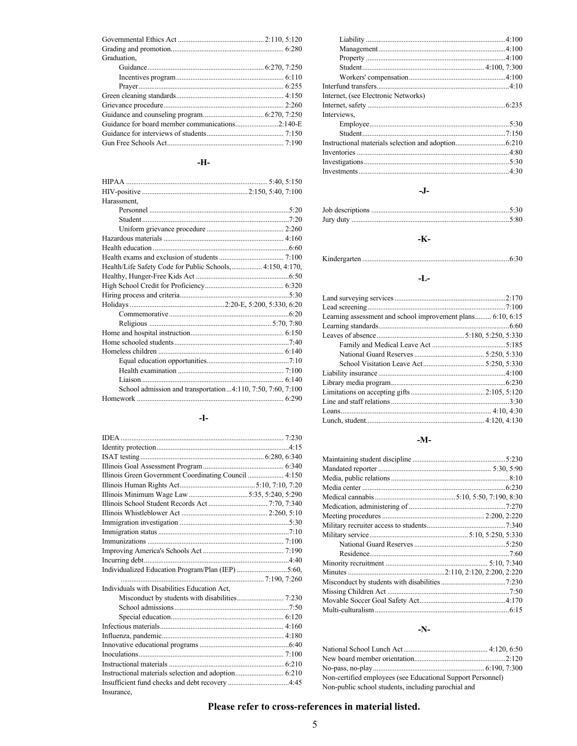| Graduation, |  |
|-------------|--|
|             |  |
|             |  |
|             |  |
|             |  |
|             |  |
|             |  |
|             |  |
|             |  |
|             |  |
|             |  |

### **-H-**

| Harassment,                                                 |  |
|-------------------------------------------------------------|--|
|                                                             |  |
|                                                             |  |
|                                                             |  |
|                                                             |  |
|                                                             |  |
|                                                             |  |
| Health/Life Safety Code for Public Schools,  4:150, 4:170,  |  |
|                                                             |  |
|                                                             |  |
|                                                             |  |
|                                                             |  |
|                                                             |  |
|                                                             |  |
|                                                             |  |
|                                                             |  |
|                                                             |  |
|                                                             |  |
|                                                             |  |
|                                                             |  |
| School admission and transportation4:110, 7:50, 7:60, 7:100 |  |
|                                                             |  |

#### **-I-**

| Illinois Green Government Coordinating Council  4:150 |  |
|-------------------------------------------------------|--|
|                                                       |  |
|                                                       |  |
|                                                       |  |
|                                                       |  |
|                                                       |  |
|                                                       |  |
|                                                       |  |
|                                                       |  |
|                                                       |  |
|                                                       |  |
|                                                       |  |
|                                                       |  |
| Individuals with Disabilities Education Act,          |  |
|                                                       |  |
|                                                       |  |
|                                                       |  |
|                                                       |  |
|                                                       |  |
|                                                       |  |
|                                                       |  |
|                                                       |  |
|                                                       |  |
|                                                       |  |
| Insurance.                                            |  |
|                                                       |  |

| Internet, (see Electronic Networks) |  |
|-------------------------------------|--|
|                                     |  |
| Interviews.                         |  |
|                                     |  |
|                                     |  |
|                                     |  |
|                                     |  |
|                                     |  |
|                                     |  |

#### **-J-**

## **-K-**

### **-L-**

| Learning assessment and school improvement plans 6:10, 6:15 |  |
|-------------------------------------------------------------|--|
|                                                             |  |
|                                                             |  |
|                                                             |  |
|                                                             |  |
|                                                             |  |
|                                                             |  |
|                                                             |  |
|                                                             |  |
|                                                             |  |
|                                                             |  |
|                                                             |  |
|                                                             |  |

#### **-M-**

| 5:230 |
|-------|
|       |
|       |
|       |
|       |
|       |
|       |
|       |
|       |
|       |
|       |
|       |
|       |
|       |
|       |
|       |
|       |

#### **-N-**

| Non-certified employees (see Educational Support Personnel) |  |
|-------------------------------------------------------------|--|
| Non-public school students, including parochial and         |  |

Kindergarten ..................................................................................6:30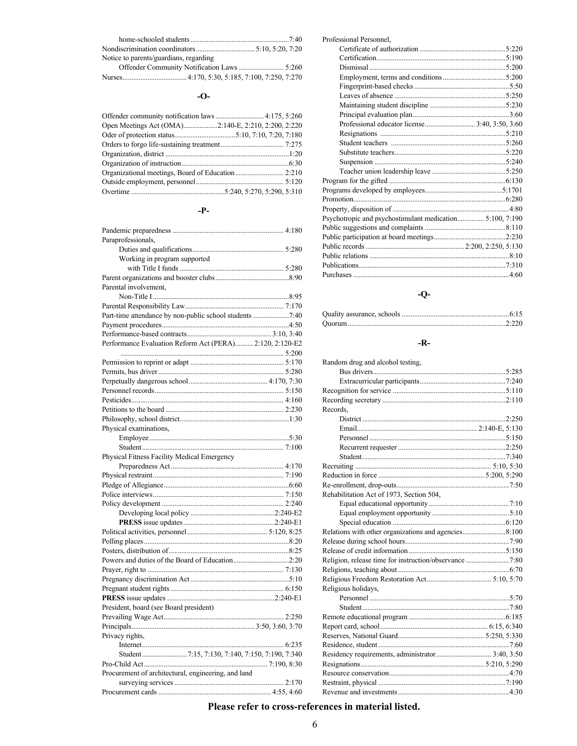| Notice to parents/guardians, regarding |  |
|----------------------------------------|--|
|                                        |  |
|                                        |  |

#### **-O-**

#### **-P-**

| Paraprofessionals,                                       |
|----------------------------------------------------------|
|                                                          |
| Working in program supported                             |
|                                                          |
|                                                          |
| Parental involvement,                                    |
|                                                          |
|                                                          |
| Part-time attendance by non-public school students 7:40  |
|                                                          |
|                                                          |
| Performance Evaluation Reform Act (PERA) 2:120, 2:120-E2 |
|                                                          |
|                                                          |
|                                                          |
|                                                          |
|                                                          |
|                                                          |
|                                                          |
|                                                          |
| Physical examinations,                                   |
|                                                          |
|                                                          |
| Physical Fitness Facility Medical Emergency              |
|                                                          |
|                                                          |
|                                                          |
|                                                          |
|                                                          |
|                                                          |
|                                                          |
|                                                          |
|                                                          |
|                                                          |
|                                                          |
| Powers and duties of the Board of Education2:20          |
|                                                          |
|                                                          |
|                                                          |
|                                                          |
| President, board (see Board president)                   |
|                                                          |
|                                                          |
| Privacy rights,                                          |
|                                                          |
|                                                          |
|                                                          |
| Procurement of architectural, engineering, and land      |
|                                                          |
|                                                          |

| Professional Personnel,                                  |  |
|----------------------------------------------------------|--|
|                                                          |  |
|                                                          |  |
|                                                          |  |
|                                                          |  |
|                                                          |  |
|                                                          |  |
|                                                          |  |
|                                                          |  |
|                                                          |  |
|                                                          |  |
|                                                          |  |
|                                                          |  |
|                                                          |  |
|                                                          |  |
|                                                          |  |
|                                                          |  |
|                                                          |  |
|                                                          |  |
| Psychotropic and psychostimulant medication 5:100, 7:190 |  |
|                                                          |  |
|                                                          |  |
|                                                          |  |
|                                                          |  |
|                                                          |  |
|                                                          |  |

## **-Q-**

## **-R-**

| Random drug and alcohol testing,         |  |
|------------------------------------------|--|
|                                          |  |
|                                          |  |
|                                          |  |
|                                          |  |
| Records.                                 |  |
|                                          |  |
|                                          |  |
|                                          |  |
|                                          |  |
|                                          |  |
|                                          |  |
|                                          |  |
|                                          |  |
| Rehabilitation Act of 1973, Section 504, |  |
|                                          |  |
|                                          |  |
|                                          |  |
|                                          |  |
|                                          |  |
|                                          |  |
|                                          |  |
|                                          |  |
|                                          |  |
| Religious holidays,                      |  |
|                                          |  |
|                                          |  |
|                                          |  |
|                                          |  |
|                                          |  |
|                                          |  |
|                                          |  |
|                                          |  |
|                                          |  |
|                                          |  |
|                                          |  |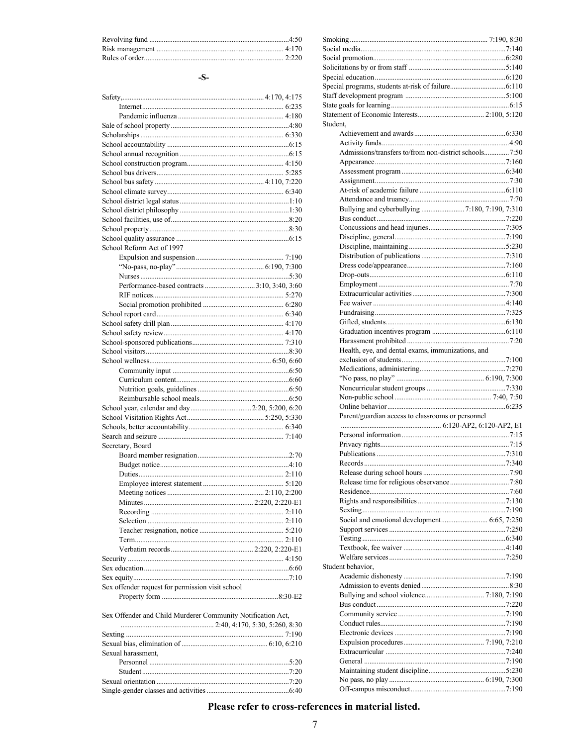#### $-S-$

| School Reform Act of 1997                        |  |
|--------------------------------------------------|--|
|                                                  |  |
|                                                  |  |
|                                                  |  |
|                                                  |  |
|                                                  |  |
|                                                  |  |
|                                                  |  |
|                                                  |  |
|                                                  |  |
|                                                  |  |
|                                                  |  |
|                                                  |  |
|                                                  |  |
|                                                  |  |
|                                                  |  |
|                                                  |  |
|                                                  |  |
|                                                  |  |
|                                                  |  |
|                                                  |  |
|                                                  |  |
| Secretary, Board                                 |  |
|                                                  |  |
|                                                  |  |
|                                                  |  |
|                                                  |  |
|                                                  |  |
|                                                  |  |
|                                                  |  |
|                                                  |  |
|                                                  |  |
|                                                  |  |
|                                                  |  |
|                                                  |  |
|                                                  |  |
|                                                  |  |
| Sex offender request for permission visit school |  |
|                                                  |  |
|                                                  |  |

|  |  |  |  |  |  | Sex Offender and Child Murderer Community Notification Act. |
|--|--|--|--|--|--|-------------------------------------------------------------|
|--|--|--|--|--|--|-------------------------------------------------------------|

| Sexual harassment, |  |
|--------------------|--|
|                    |  |
|                    |  |
|                    |  |
|                    |  |

| Student.                                              |  |
|-------------------------------------------------------|--|
|                                                       |  |
|                                                       |  |
| Admissions/transfers to/from non-district schools7:50 |  |
|                                                       |  |
|                                                       |  |
|                                                       |  |
|                                                       |  |
|                                                       |  |
|                                                       |  |
|                                                       |  |
|                                                       |  |
|                                                       |  |
|                                                       |  |
|                                                       |  |
|                                                       |  |
|                                                       |  |
|                                                       |  |
|                                                       |  |
|                                                       |  |
|                                                       |  |
|                                                       |  |
|                                                       |  |
|                                                       |  |
| Health, eye, and dental exams, immunizations, and     |  |
|                                                       |  |
|                                                       |  |
|                                                       |  |
|                                                       |  |
|                                                       |  |
|                                                       |  |
|                                                       |  |
| Parent/guardian access to classrooms or personnel     |  |
|                                                       |  |
|                                                       |  |
|                                                       |  |
| Publications                                          |  |
|                                                       |  |
|                                                       |  |
|                                                       |  |
|                                                       |  |
|                                                       |  |
|                                                       |  |
|                                                       |  |
|                                                       |  |
|                                                       |  |
|                                                       |  |
|                                                       |  |
| Student behavior,                                     |  |
|                                                       |  |
|                                                       |  |
|                                                       |  |
|                                                       |  |
|                                                       |  |
|                                                       |  |
|                                                       |  |
|                                                       |  |
|                                                       |  |
|                                                       |  |
|                                                       |  |
|                                                       |  |